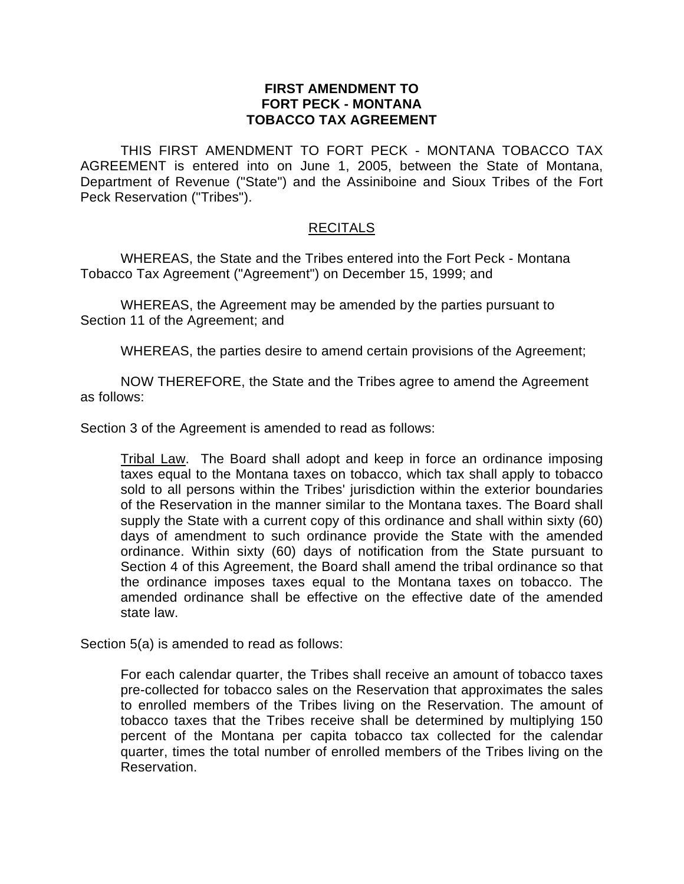## **FIRST AMENDMENT TO FORT PECK - MONTANA TOBACCO TAX AGREEMENT**

THIS FIRST AMENDMENT TO FORT PECK - MONTANA TOBACCO TAX AGREEMENT is entered into on June 1, 2005, between the State of Montana, Department of Revenue ("State") and the Assiniboine and Sioux Tribes of the Fort Peck Reservation ("Tribes").

## **RECITALS**

WHEREAS, the State and the Tribes entered into the Fort Peck - Montana Tobacco Tax Agreement ("Agreement") on December 15, 1999; and

WHEREAS, the Agreement may be amended by the parties pursuant to Section 11 of the Agreement; and

WHEREAS, the parties desire to amend certain provisions of the Agreement;

NOW THEREFORE, the State and the Tribes agree to amend the Agreement as follows:

Section 3 of the Agreement is amended to read as follows:

Tribal Law. The Board shall adopt and keep in force an ordinance imposing taxes equal to the Montana taxes on tobacco, which tax shall apply to tobacco sold to all persons within the Tribes' jurisdiction within the exterior boundaries of the Reservation in the manner similar to the Montana taxes. The Board shall supply the State with a current copy of this ordinance and shall within sixty (60) days of amendment to such ordinance provide the State with the amended ordinance. Within sixty (60) days of notification from the State pursuant to Section 4 of this Agreement, the Board shall amend the tribal ordinance so that the ordinance imposes taxes equal to the Montana taxes on tobacco. The amended ordinance shall be effective on the effective date of the amended state law.

Section 5(a) is amended to read as follows:

For each calendar quarter, the Tribes shall receive an amount of tobacco taxes pre-collected for tobacco sales on the Reservation that approximates the sales to enrolled members of the Tribes living on the Reservation. The amount of tobacco taxes that the Tribes receive shall be determined by multiplying 150 percent of the Montana per capita tobacco tax collected for the calendar quarter, times the total number of enrolled members of the Tribes living on the Reservation.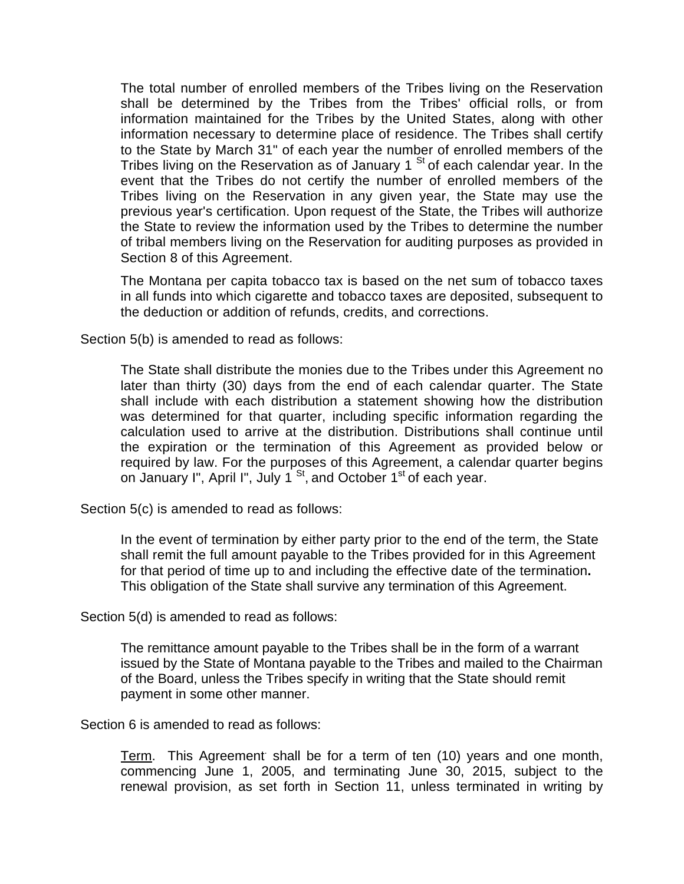The total number of enrolled members of the Tribes living on the Reservation shall be determined by the Tribes from the Tribes' official rolls, or from information maintained for the Tribes by the United States, along with other information necessary to determine place of residence. The Tribes shall certify to the State by March 31" of each year the number of enrolled members of the Tribes living on the Reservation as of January 1  $<sup>St</sup>$  of each calendar year. In the</sup> event that the Tribes do not certify the number of enrolled members of the Tribes living on the Reservation in any given year, the State may use the previous year's certification. Upon request of the State, the Tribes will authorize the State to review the information used by the Tribes to determine the number of tribal members living on the Reservation for auditing purposes as provided in Section 8 of this Agreement.

The Montana per capita tobacco tax is based on the net sum of tobacco taxes in all funds into which cigarette and tobacco taxes are deposited, subsequent to the deduction or addition of refunds, credits, and corrections.

Section 5(b) is amended to read as follows:

The State shall distribute the monies due to the Tribes under this Agreement no later than thirty (30) days from the end of each calendar quarter. The State shall include with each distribution a statement showing how the distribution was determined for that quarter, including specific information regarding the calculation used to arrive at the distribution. Distributions shall continue until the expiration or the termination of this Agreement as provided below or required by law. For the purposes of this Agreement, a calendar quarter begins on January I", April I", July 1  $<sup>St</sup>$ , and October 1<sup>st</sup> of each year.</sup>

Section 5(c) is amended to read as follows:

In the event of termination by either party prior to the end of the term, the State shall remit the full amount payable to the Tribes provided for in this Agreement for that period of time up to and including the effective date of the termination**.**  This obligation of the State shall survive any termination of this Agreement.

Section 5(d) is amended to read as follows:

The remittance amount payable to the Tribes shall be in the form of a warrant issued by the State of Montana payable to the Tribes and mailed to the Chairman of the Board, unless the Tribes specify in writing that the State should remit payment in some other manner.

Section 6 is amended to read as follows:

Term. This Agreement shall be for a term of ten (10) years and one month, commencing June 1, 2005, and terminating June 30, 2015, subject to the renewal provision, as set forth in Section 11, unless terminated in writing by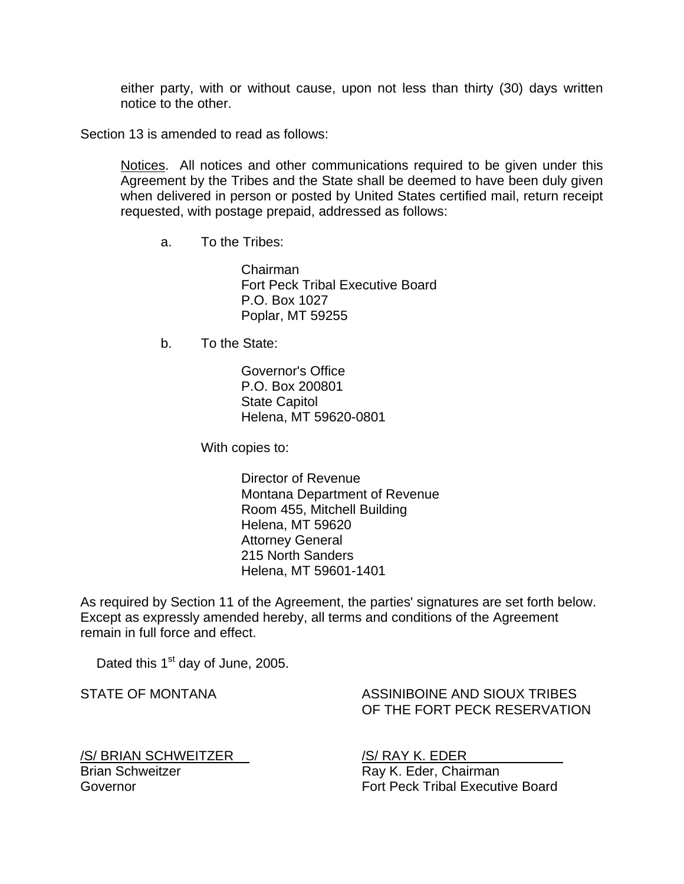either party, with or without cause, upon not less than thirty (30) days written notice to the other.

Section 13 is amended to read as follows:

Notices. All notices and other communications required to be given under this Agreement by the Tribes and the State shall be deemed to have been duly given when delivered in person or posted by United States certified mail, return receipt requested, with postage prepaid, addressed as follows:

a. To the Tribes:

 Chairman Fort Peck Tribal Executive Board P.O. Box 1027 Poplar, MT 59255

b. To the State:

 Governor's Office P.O. Box 200801 State Capitol Helena, MT 59620-0801

With copies to:

 Director of Revenue Montana Department of Revenue Room 455, Mitchell Building Helena, MT 59620 Attorney General 215 North Sanders Helena, MT 59601-1401

As required by Section 11 of the Agreement, the parties' signatures are set forth below. Except as expressly amended hereby, all terms and conditions of the Agreement remain in full force and effect.

Dated this 1<sup>st</sup> day of June, 2005.

STATE OF MONTANA ASSINIBOINE AND SIOUX TRIBES OF THE FORT PECK RESERVATION

/S/ BRIAN SCHWEITZER /S/ RAY K. EDER Brian Schweitzer **Ray K. Eder, Chairman** 

Governor **Fort Peck Tribal Executive Board**